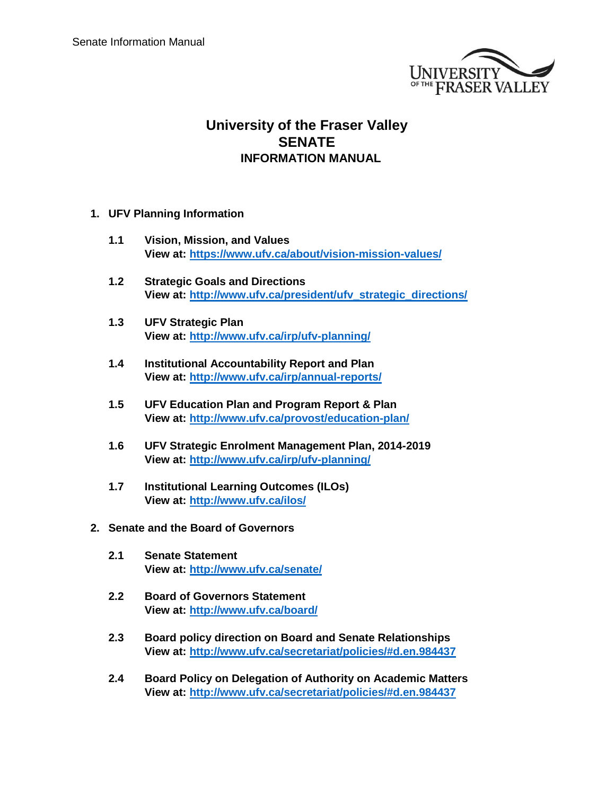

## **University of the Fraser Valley SENATE INFORMATION MANUAL**

- **1. UFV Planning Information**
	- **1.1 Vision, Mission, and Values View at:<https://www.ufv.ca/about/vision-mission-values/>**
	- **1.2 Strategic Goals and Directions View at: [http://www.ufv.ca/president/ufv\\_strategic\\_directions/](http://www.ufv.ca/president/ufv_strategic_directions/)**
	- **1.3 UFV Strategic Plan View at:<http://www.ufv.ca/irp/ufv-planning/>**
	- **1.4 Institutional Accountability Report and Plan View at:<http://www.ufv.ca/irp/annual-reports/>**
	- **1.5 UFV Education Plan and Program Report & Plan View at:<http://www.ufv.ca/provost/education-plan/>**
	- **1.6 UFV Strategic Enrolment Management Plan, 2014-2019 View at:<http://www.ufv.ca/irp/ufv-planning/>**
	- **1.7 Institutional Learning Outcomes (ILOs) View at:<http://www.ufv.ca/ilos/>**
- **2. Senate and the Board of Governors**
	- **2.1 Senate Statement View at:<http://www.ufv.ca/senate/>**
	- **2.2 Board of Governors Statement View at:<http://www.ufv.ca/board/>**
	- **2.3 Board policy direction on Board and Senate Relationships View at:<http://www.ufv.ca/secretariat/policies/#d.en.984437>**
	- **2.4 Board Policy on Delegation of Authority on Academic Matters View at:<http://www.ufv.ca/secretariat/policies/#d.en.984437>**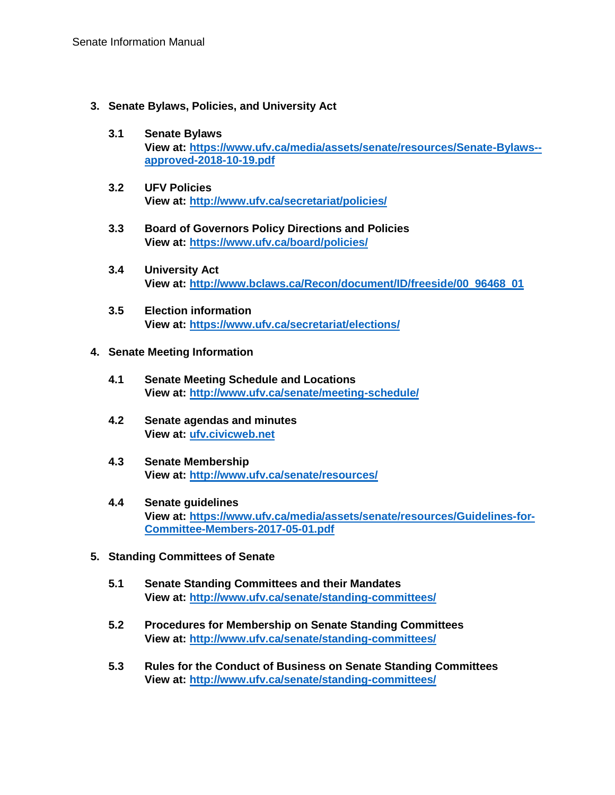- **3. Senate Bylaws, Policies, and University Act**
	- **3.1 Senate Bylaws View at: [https://www.ufv.ca/media/assets/senate/resources/Senate-Bylaws-](https://www.ufv.ca/media/assets/senate/resources/Senate-Bylaws--approved-2018-10-19.pdf) [approved-2018-10-19.pdf](https://www.ufv.ca/media/assets/senate/resources/Senate-Bylaws--approved-2018-10-19.pdf)**
	- **3.2 UFV Policies View at:<http://www.ufv.ca/secretariat/policies/>**
	- **3.3 Board of Governors Policy Directions and Policies View at: <https://www.ufv.ca/board/policies/>**
	- **3.4 University Act View at: [http://www.bclaws.ca/Recon/document/ID/freeside/00\\_96468\\_01](http://www.bclaws.ca/Recon/document/ID/freeside/00_96468_01)**
	- **3.5 Election information View at: <https://www.ufv.ca/secretariat/elections/>**

## **4. Senate Meeting Information**

- **4.1 Senate Meeting Schedule and Locations View at:<http://www.ufv.ca/senate/meeting-schedule/>**
- **4.2 Senate agendas and minutes View at: [ufv.civicweb.net](http://ufv.civicweb.net/)**
- **4.3 Senate Membership View at:<http://www.ufv.ca/senate/resources/>**
- **4.4 Senate guidelines View at: [https://www.ufv.ca/media/assets/senate/resources/Guidelines-for-](https://www.ufv.ca/media/assets/senate/resources/Guidelines-for-Committee-Members-2017-05-01.pdf)[Committee-Members-2017-05-01.pdf](https://www.ufv.ca/media/assets/senate/resources/Guidelines-for-Committee-Members-2017-05-01.pdf)**
- **5. Standing Committees of Senate**
	- **5.1 Senate Standing Committees and their Mandates View at:<http://www.ufv.ca/senate/standing-committees/>**
	- **5.2 Procedures for Membership on Senate Standing Committees View at:<http://www.ufv.ca/senate/standing-committees/>**
	- **5.3 Rules for the Conduct of Business on Senate Standing Committees View at:<http://www.ufv.ca/senate/standing-committees/>**